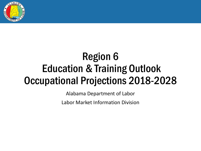

# Region 6 Education & Training Outlook Occupational Projections 2018-2028

Alabama Department of Labor

Labor Market Information Division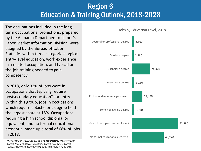## Region 6 Education & Training Outlook, 2018-2028

The occupations included in the long-<br>
The occupations included in the long-<br>
The occupations included in the longterm occupational projections, prepared by the Alabama Department of Labor's Labor Market Information Division, were assigned by the Bureau of Labor Statistics within three categories: typical entry-level education, work experience in a related occupation, and typical onthe-job training needed to gain competency.

In 2018, only 32% of jobs were in occupations that typically require postsecondary education\* for entry. Within this group, jobs in occupations which require a Bachelor's degree held the largest share at 16%. Occupations requiring a high school diploma, or equivalent, and no formal educational credential made up a total of 68% of jobs in 2018.



*\*Postsecondary education group includes: Doctoral or professional degree, Master's degree, Bachelor's degree, Associate's degree, Postsecondary non-degree award, and some college, no degree.*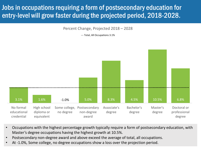### Jobs in occupations requiring a form of postsecondary education for entry-level will grow faster during the projected period, 2018-2028.

Percent Change, Projected 2018 – 2028

--- Total, All Occupations 3.1%



- Occupations with the highest percentage growth typically require a form of postsecondary education, with Master's degree occupations having the highest growth at 10.5%.
- Postsecondary non-degree award and above exceed the average of total, all occupations.
- At -1.0%, Some college, no degree occupations show a loss over the projection period.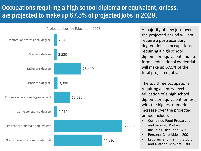#### Occupations requiring a high school diploma or equivalent, or less, are projected to make up 67.5% of projected jobs in 2028.



the projected period will not require a postsecondary degree. Jobs in occupations requiring a high school diploma or equivalent and no formal educational credential will make up 67.5% of the total projected jobs.

The top three occupations requiring an entry-level education of a high school diploma or equivalent, or less, with the highest numeric increase over the projected period include:

- Combined Food Preparation and Serving Workers, Including Fast Food– 460
- Personal Care Aides– 200
- Laborers and Freight, Stock, and Material Movers– 180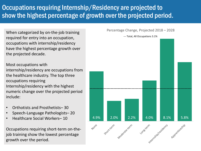### Occupations requiring Internship/Residency are projected to show the highest percentage of growth over the projected period.

required for entry into an occupation, occupations with internship/residency have the highest percentage growth over the projected decade.

Most occupations with internship/residency are occupations from the healthcare industry. The top three occupations requiring Internship/residency with the highest numeric change over the projected period include:

- Orthotists and Prosthetists– 30
- Speech-Language Pathologists– 20
- Healthcare Social Workers– 10

Occupations requiring short-term on-thejob training show the lowest percentage growth over the period.

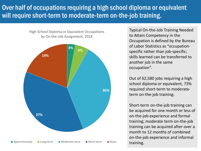#### Over half of occupations requiring a high school diploma or equivalent will require short-term to moderate-term on-the-job training.

High School Diploma or Equivalent Occupations by On-the-Job Assignment, 2018



Typical On-the-Job Training Needed to Attain Competency in the Occupation is defined by the Bureau of Labor Statistics as "occupationspecific rather than job-specific; skills learned can be transferred to another job in the same occupation".

Out of 62,580 jobs requiring a high school diploma or equivalent, 73% required short-term to moderateterm on-the-job training.

Short-term on-the-job training can be acquired for one month or less of on-the-job experience and formal training; moderate term on-the-job training can be acquired after over a month to 12 months of combined on-the-job experience and informal training.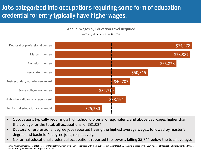### Jobs categorized into occupations requiring some form of education credential for entry typically have higher wages.

Annual Wages by Education Level Required

\$25,280 \$38,194 \$32,710 \$40,707 \$50,315 \$65,828 \$73,387 \$74,278 No formal educational credential High school diploma or equivalent Some college, no degree Postsecondary non-degree award Associate's degree Bachelor's degree Master's degree Doctoral or professional degree

--- Total, All Occupations \$31,024

- Occupations typically requiring a high school diploma, or equivalent, and above pay wages higher than the average for the total, all occupations, of \$31,024.
- Doctoral or professional degree jobs reported having the highest average wages, followed by master's degree and bachelor's degree jobs, respectively.
- No formal educational credential occupations reported the lowest, falling \$5,744 below the total average.

Source: Alabama Department of Labor, Labor Market Information Division in cooperation with the U.S. Bureau of Labor Statistics. The data is based on the 2020 release of Occupation Employment and Wage Statistics Survey employment and wage estimate file.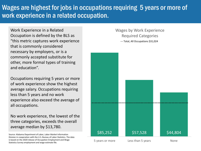#### Wages are highest for jobs in occupations requiring 5 years or more of work experience in a related occupation.

Work Experience in a Related Occupation is defined by the BLS as "this metric captures work experience that is commonly considered necessary by employers, or is a commonly accepted substitute for other, more formal types of training and education".

Occupations requiring 5 years or more of work experience show the highest average salary. Occupations requiring less than 5 years and no work experience also exceed the average of all occupations.

No work experience, the lowest of the three categories, exceeds the overall average median by \$13,780.

Source: Alabama Department of Labor, Labor Market Information Division in cooperation with the U.S. Bureau of Labor Statistics. The data is based on the 2020 release of Occupation Employment and Wage Statistics Survey employment and wage estimate file.

Wages by Work Experience Required Categories --- Total, All Occupations \$31,024